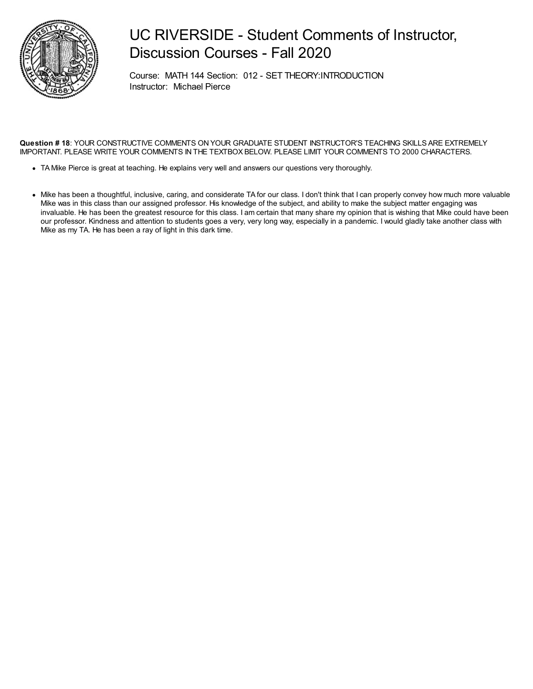

### UC RIVERSIDE - Student Comments of Instructor, Discussion Courses - Fall 2020

Course: MATH 144 Section: 012 - SET THEORY:INTRODUCTION Instructor: Michael Pierce

#### **Question # 18**: YOUR CONSTRUCTIVE COMMENTS ON YOUR GRADUATE STUDENT INSTRUCTOR'S TEACHING SKILLS ARE EXTREMELY IMPORTANT. PLEASE WRITE YOUR COMMENTS IN THE TEXTBOX BELOW. PLEASE LIMIT YOUR COMMENTS TO 2000 CHARACTERS.

- TA Mike Pierce is great at teaching. He explains very well and answers our questions very thoroughly.
- Mike has been a thoughtful, inclusive, caring, and considerate TA for our class. I don't think that I can properly convey how much more valuable Mike was in this class than our assigned professor. His knowledge of the subject, and ability to make the subject matter engaging was invaluable. He has been the greatest resource for this class. I am certain that many share my opinion that is wishing that Mike could have been our professor. Kindness and attention to students goes a very, very long way, especially in a pandemic. I would gladly take another class with Mike as my TA. He has been a ray of light in this dark time.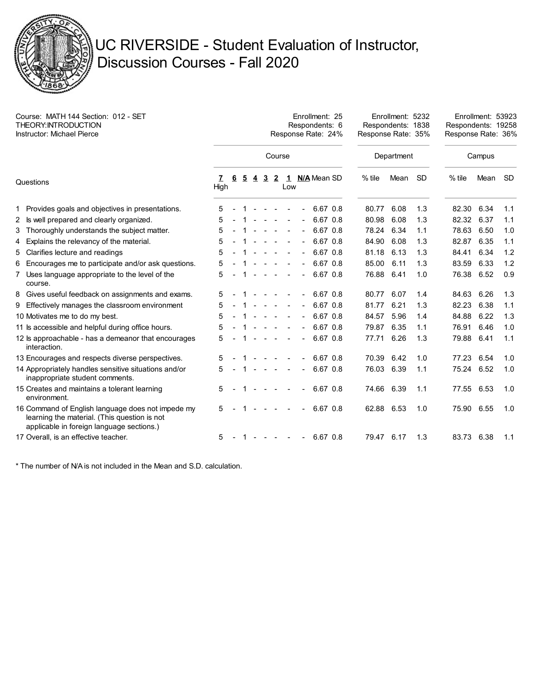

# UC RIVERSIDE - Student Evaluation of Instructor, Discussion Courses - Fall 2020

| Course: MATH 144 Section: 012 - SET<br>THEORY: INTRODUCTION<br>Instructor: Michael Pierce |                                                                                                                                                |           | Enrollment: 25<br>Respondents: 6<br>Response Rate: 24% |                |                |                                   |                          |     |  |                |  |          | Response Rate: 35% | Enrollment: 5232<br>Respondents: 1838 |           | Enrollment: 53923<br>Respondents: 19258<br>Response Rate: 36% |      |           |
|-------------------------------------------------------------------------------------------|------------------------------------------------------------------------------------------------------------------------------------------------|-----------|--------------------------------------------------------|----------------|----------------|-----------------------------------|--------------------------|-----|--|----------------|--|----------|--------------------|---------------------------------------|-----------|---------------------------------------------------------------|------|-----------|
|                                                                                           |                                                                                                                                                | Course    |                                                        |                |                |                                   |                          |     |  |                |  |          |                    | Department                            |           | Campus                                                        |      |           |
| Questions                                                                                 |                                                                                                                                                | 7<br>High | 6                                                      | $\overline{2}$ | $\overline{4}$ | $\overline{3}$                    | $\overline{2}$           | Low |  | 1 N/A Mean SD  |  |          | $%$ tile           | Mean                                  | <b>SD</b> | $%$ tile                                                      | Mean | <b>SD</b> |
|                                                                                           | 1 Provides goals and objectives in presentations.                                                                                              | 5         |                                                        |                |                |                                   |                          |     |  |                |  | 6.67 0.8 | 80.77              | 6.08                                  | 1.3       | 82.30                                                         | 6.34 | 1.1       |
|                                                                                           | 2 Is well prepared and clearly organized.                                                                                                      | 5         |                                                        |                |                |                                   | $\sim$                   |     |  | $\blacksquare$ |  | 6.67 0.8 | 80.98              | 6.08                                  | 1.3       | 82.32                                                         | 6.37 | 1.1       |
|                                                                                           | 3 Thoroughly understands the subject matter.                                                                                                   | 5         |                                                        |                |                |                                   |                          |     |  |                |  | 6.67 0.8 | 78.24              | 6.34                                  | 1.1       | 78.63                                                         | 6.50 | 1.0       |
| 4                                                                                         | Explains the relevancy of the material.                                                                                                        | 5         |                                                        |                |                |                                   |                          |     |  | L,             |  | 6.67 0.8 | 84.90              | 6.08                                  | 1.3       | 82.87                                                         | 6.35 | 1.1       |
|                                                                                           | 5 Clarifies lecture and readings                                                                                                               | 5         |                                                        |                |                |                                   |                          |     |  |                |  | 6.67 0.8 | 81.18              | 6.13                                  | 1.3       | 84.41                                                         | 6.34 | 1.2       |
|                                                                                           | 6 Encourages me to participate and/or ask questions.                                                                                           | 5         |                                                        |                |                |                                   |                          |     |  |                |  | 6.67 0.8 | 85.00              | 6.11                                  | 1.3       | 83.59                                                         | 6.33 | 1.2       |
|                                                                                           | 7 Uses language appropriate to the level of the<br>course.                                                                                     | 5         |                                                        |                |                |                                   |                          |     |  | $\blacksquare$ |  | 6.67 0.8 | 76.88              | 6.41                                  | 1.0       | 76.38                                                         | 6.52 | 0.9       |
|                                                                                           | 8 Gives useful feedback on assignments and exams.                                                                                              | 5         |                                                        |                |                |                                   |                          |     |  |                |  | 6.67 0.8 | 80.77              | 6.07                                  | 1.4       | 84.63                                                         | 6.26 | 1.3       |
|                                                                                           | 9 Effectively manages the classroom environment                                                                                                | 5         |                                                        |                |                |                                   |                          |     |  |                |  | 6.67 0.8 | 81.77              | 6.21                                  | 1.3       | 82.23                                                         | 6.38 | 1.1       |
|                                                                                           | 10 Motivates me to do my best.                                                                                                                 | 5         |                                                        |                |                |                                   |                          |     |  |                |  | 6.67 0.8 | 84.57              | 5.96                                  | 1.4       | 84.88                                                         | 6.22 | 1.3       |
|                                                                                           | 11 ls accessible and helpful during office hours.                                                                                              | 5         |                                                        |                |                |                                   |                          |     |  |                |  | 6.67 0.8 | 79.87              | 6.35                                  | 1.1       | 76.91                                                         | 6.46 | 1.0       |
|                                                                                           | 12 ls approachable - has a demeanor that encourages<br>interaction.                                                                            | 5         |                                                        |                |                |                                   |                          |     |  |                |  | 6.67 0.8 | 77.71              | 6.26                                  | 1.3       | 79.88                                                         | 6.41 | 1.1       |
|                                                                                           | 13 Encourages and respects diverse perspectives.                                                                                               | 5         |                                                        |                |                |                                   |                          |     |  |                |  | 6.67 0.8 | 70.39              | 6.42                                  | 1.0       | 77.23                                                         | 6.54 | 1.0       |
|                                                                                           | 14 Appropriately handles sensitive situations and/or<br>inappropriate student comments.                                                        | 5         |                                                        |                |                | $\sim 10^{-1}$ and $\sim 10^{-1}$ |                          |     |  | $\overline{a}$ |  | 6.67 0.8 | 76.03              | 6.39                                  | 1.1       | 75.24                                                         | 6.52 | 1.0       |
|                                                                                           | 15 Creates and maintains a tolerant learning<br>environment.                                                                                   | 5         |                                                        |                |                |                                   |                          |     |  |                |  | 6.67 0.8 | 74.66              | 6.39                                  | 1.1       | 77.55                                                         | 6.53 | 1.0       |
|                                                                                           | 16 Command of English language does not impede my<br>learning the material. (This question is not<br>applicable in foreign language sections.) | 5         |                                                        |                |                |                                   |                          |     |  |                |  | 6.67 0.8 | 62.88 6.53         |                                       | 1.0       | 75.90                                                         | 6.55 | 1.0       |
|                                                                                           | 17 Overall, is an effective teacher.                                                                                                           | 5         |                                                        |                |                | $\sim$                            | <b>Contract Contract</b> |     |  | $\blacksquare$ |  | 6.67 0.8 | 79.47 6.17         |                                       | 1.3       | 83.73                                                         | 6.38 | 1.1       |

\* The number of N/A is not included in the Mean and S.D. calculation.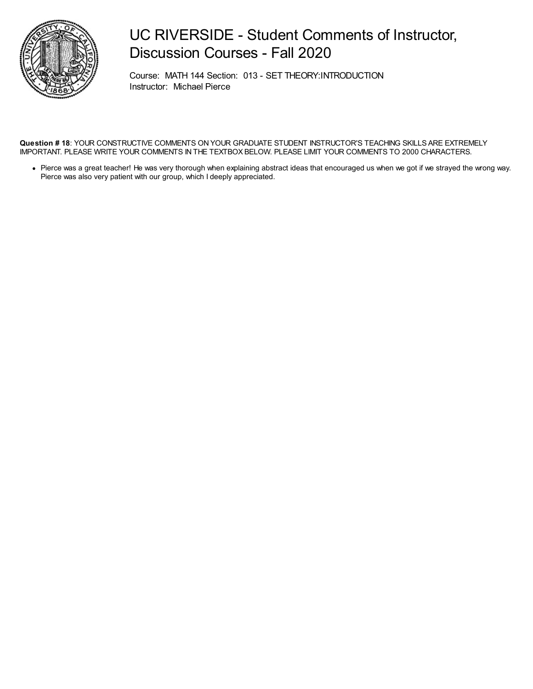

### UC RIVERSIDE - Student Comments of Instructor, Discussion Courses - Fall 2020

Course: MATH 144 Section: 013 - SET THEORY:INTRODUCTION Instructor: Michael Pierce

**Question # 18**: YOUR CONSTRUCTIVE COMMENTS ON YOUR GRADUATE STUDENT INSTRUCTOR'S TEACHING SKILLS ARE EXTREMELY IMPORTANT. PLEASE WRITE YOUR COMMENTS IN THE TEXTBOX BELOW. PLEASE LIMIT YOUR COMMENTS TO 2000 CHARACTERS.

Pierce was a great teacher! He was very thorough when explaining abstract ideas that encouraged us when we got if we strayed the wrong way. Pierce was also very patient with our group, which I deeply appreciated.